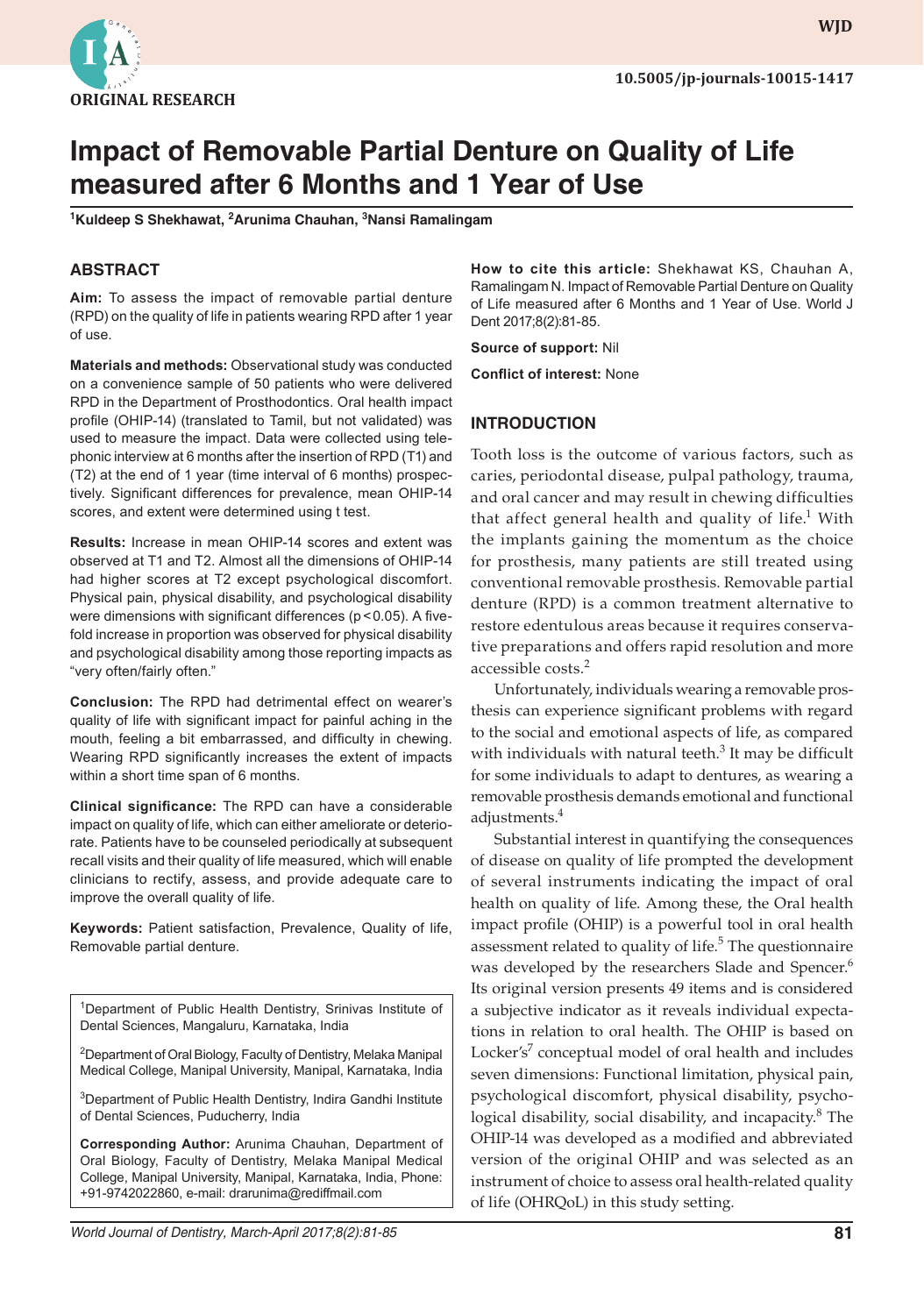

**WJD WJD**

# **Impact of Removable Partial Denture on Quality of Life measured after 6 Months and 1 Year of Use**

**1 Kuldeep S Shekhawat, 2 Arunima Chauhan, 3 Nansi Ramalingam**

# **ABSTRACT**

**Aim:** To assess the impact of removable partial denture (RPD) on the quality of life in patients wearing RPD after 1 year of use.

**Materials and methods:** Observational study was conducted on a convenience sample of 50 patients who were delivered RPD in the Department of Prosthodontics. Oral health impact profile (OHIP-14) (translated to Tamil, but not validated) was used to measure the impact. Data were collected using telephonic interview at 6 months after the insertion of RPD (T1) and (T2) at the end of 1 year (time interval of 6 months) prospectively. Significant differences for prevalence, mean OHIP-14 scores, and extent were determined using t test.

**Results:** Increase in mean OHIP-14 scores and extent was observed at T1 and T2. Almost all the dimensions of OHIP-14 had higher scores at T2 except psychological discomfort. Physical pain, physical disability, and psychological disability were dimensions with significant differences (p < 0.05). A fivefold increase in proportion was observed for physical disability and psychological disability among those reporting impacts as "very often/fairly often."

**Conclusion:** The RPD had detrimental effect on wearer's quality of life with significant impact for painful aching in the mouth, feeling a bit embarrassed, and difficulty in chewing. Wearing RPD significantly increases the extent of impacts within a short time span of 6 months.

**Clinical significance:** The RPD can have a considerable impact on quality of life, which can either ameliorate or deteriorate. Patients have to be counseled periodically at subsequent recall visits and their quality of life measured, which will enable clinicians to rectify, assess, and provide adequate care to improve the overall quality of life.

**Keywords:** Patient satisfaction, Prevalence, Quality of life, Removable partial denture.

<sup>1</sup>Department of Public Health Dentistry, Srinivas Institute of Dental Sciences, Mangaluru, Karnataka, India

<sup>2</sup>Department of Oral Biology, Faculty of Dentistry, Melaka Manipal Medical College, Manipal University, Manipal, Karnataka, India

3 Department of Public Health Dentistry, Indira Gandhi Institute of Dental Sciences, Puducherry, India

**Corresponding Author:** Arunima Chauhan, Department of Oral Biology, Faculty of Dentistry, Melaka Manipal Medical College, Manipal University, Manipal, Karnataka, India, Phone: +91-9742022860, e-mail: drarunima@rediffmail.com

**How to cite this article:** Shekhawat KS, Chauhan A, Ramalingam N. Impact of Removable Partial Denture on Quality of Life measured after 6 Months and 1 Year of Use. World J Dent 2017;8(2):81-85.

**Source of support:** Nil

**Conflict of interest:** None

# **INTRODUCTION**

Tooth loss is the outcome of various factors, such as caries, periodontal disease, pulpal pathology, trauma, and oral cancer and may result in chewing difficulties that affect general health and quality of life.<sup>1</sup> With the implants gaining the momentum as the choice for prosthesis, many patients are still treated using conventional removable prosthesis. Removable partial denture (RPD) is a common treatment alternative to restore edentulous areas because it requires conservative preparations and offers rapid resolution and more accessible costs.<sup>2</sup>

Unfortunately, individuals wearing a removable prosthesis can experience significant problems with regard to the social and emotional aspects of life, as compared with individuals with natural teeth. $3$  It may be difficult for some individuals to adapt to dentures, as wearing a removable prosthesis demands emotional and functional adjustments.<sup>4</sup>

Substantial interest in quantifying the consequences of disease on quality of life prompted the development of several instruments indicating the impact of oral health on quality of life. Among these, the Oral health impact profile (OHIP) is a powerful tool in oral health assessment related to quality of life.<sup>5</sup> The questionnaire was developed by the researchers Slade and Spencer.<sup>6</sup> Its original version presents 49 items and is considered a subjective indicator as it reveals individual expectations in relation to oral health. The OHIP is based on Locker's<sup>7</sup> conceptual model of oral health and includes seven dimensions: Functional limitation, physical pain, psychological discomfort, physical disability, psychological disability, social disability, and incapacity.<sup>8</sup> The OHIP-14 was developed as a modified and abbreviated version of the original OHIP and was selected as an instrument of choice to assess oral health-related quality of life (OHRQoL) in this study setting.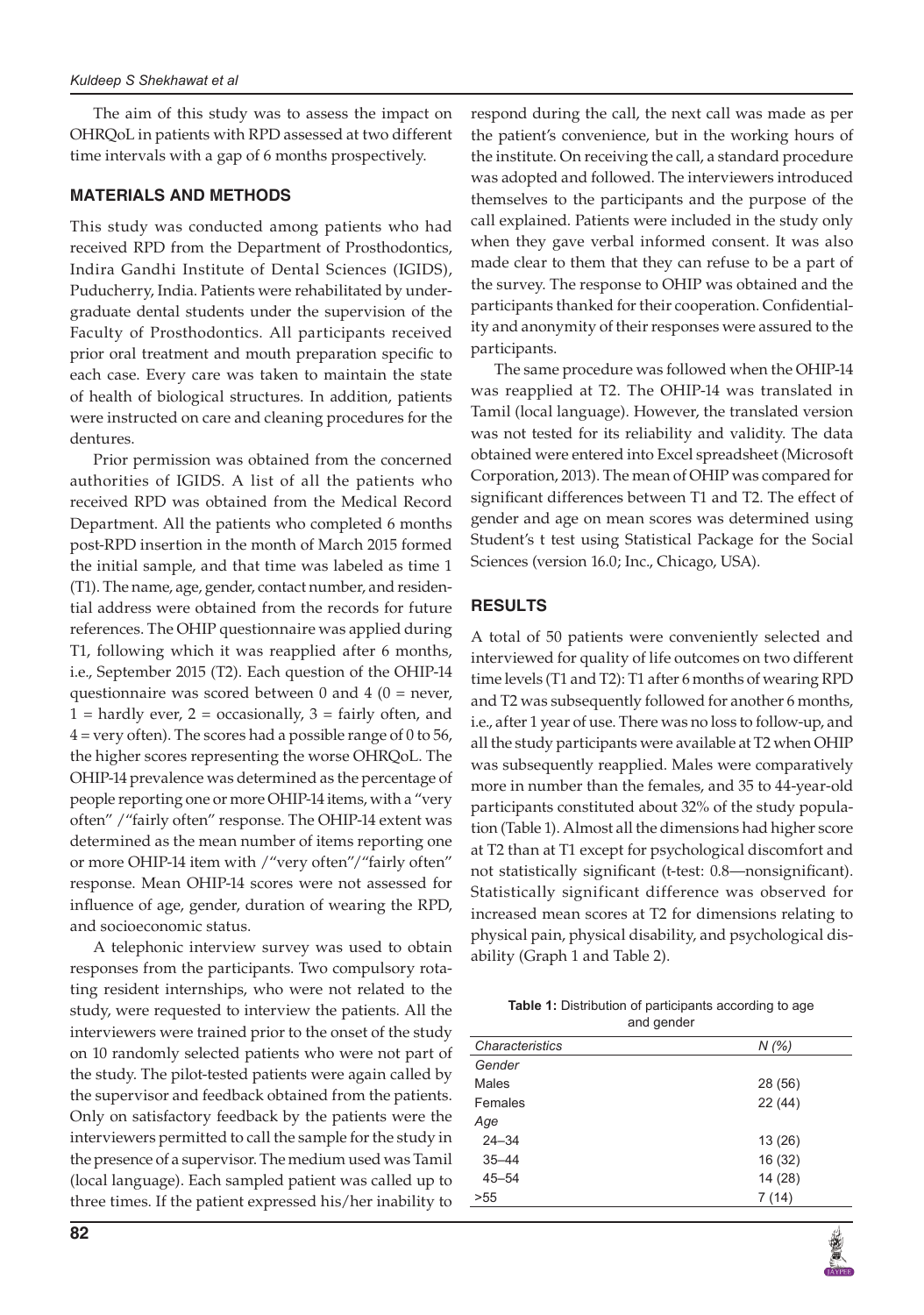The aim of this study was to assess the impact on OHRQoL in patients with RPD assessed at two different time intervals with a gap of 6 months prospectively.

### **MATERIALS AND METHODS**

This study was conducted among patients who had received RPD from the Department of Prosthodontics, Indira Gandhi Institute of Dental Sciences (IGIDS), Puducherry, India. Patients were rehabilitated by undergraduate dental students under the supervision of the Faculty of Prosthodontics. All participants received prior oral treatment and mouth preparation specific to each case. Every care was taken to maintain the state of health of biological structures. In addition, patients were instructed on care and cleaning procedures for the dentures.

Prior permission was obtained from the concerned authorities of IGIDS. A list of all the patients who received RPD was obtained from the Medical Record Department. All the patients who completed 6 months post-RPD insertion in the month of March 2015 formed the initial sample, and that time was labeled as time 1 (T1). The name, age, gender, contact number, and residential address were obtained from the records for future references. The OHIP questionnaire was applied during T1, following which it was reapplied after 6 months, i.e., September 2015 (T2). Each question of the OHIP-14 questionnaire was scored between 0 and 4 ( $0 =$  never,  $1 =$  hardly ever,  $2 =$  occasionally,  $3 =$  fairly often, and 4 = very often). The scores had a possible range of 0 to 56, the higher scores representing the worse OHRQoL. The OHIP-14 prevalence was determined as the percentage of people reporting one or more OHIP-14 items, with a "very often" /"fairly often" response. The OHIP-14 extent was determined as the mean number of items reporting one or more OHIP-14 item with /"very often"/"fairly often" response. Mean OHIP-14 scores were not assessed for influence of age, gender, duration of wearing the RPD, and socioeconomic status.

A telephonic interview survey was used to obtain responses from the participants. Two compulsory rotating resident internships, who were not related to the study, were requested to interview the patients. All the interviewers were trained prior to the onset of the study on 10 randomly selected patients who were not part of the study. The pilot-tested patients were again called by the supervisor and feedback obtained from the patients. Only on satisfactory feedback by the patients were the interviewers permitted to call the sample for the study in the presence of a supervisor. The medium used was Tamil (local language). Each sampled patient was called up to three times. If the patient expressed his/her inability to

respond during the call, the next call was made as per the patient's convenience, but in the working hours of the institute. On receiving the call, a standard procedure was adopted and followed. The interviewers introduced themselves to the participants and the purpose of the call explained. Patients were included in the study only when they gave verbal informed consent. It was also made clear to them that they can refuse to be a part of the survey. The response to OHIP was obtained and the participants thanked for their cooperation. Confidentiality and anonymity of their responses were assured to the participants.

The same procedure was followed when the OHIP-14 was reapplied at T2. The OHIP-14 was translated in Tamil (local language). However, the translated version was not tested for its reliability and validity. The data obtained were entered into Excel spreadsheet (Microsoft Corporation, 2013). The mean of OHIP was compared for significant differences between T1 and T2. The effect of gender and age on mean scores was determined using Student's t test using Statistical Package for the Social Sciences (version 16.0; Inc., Chicago, USA).

# **RESULTS**

A total of 50 patients were conveniently selected and interviewed for quality of life outcomes on two different time levels (T1 and T2): T1 after 6 months of wearing RPD and T2 was subsequently followed for another 6 months, i.e., after 1 year of use. There was no loss to follow-up, and all the study participants were available at T2 when OHIP was subsequently reapplied. Males were comparatively more in number than the females, and 35 to 44-year-old participants constituted about 32% of the study population (Table 1). Almost all the dimensions had higher score at T2 than at T1 except for psychological discomfort and not statistically significant (t-test: 0.8—nonsignificant). Statistically significant difference was observed for increased mean scores at T2 for dimensions relating to physical pain, physical disability, and psychological disability (Graph 1 and Table 2).

| <b>Table 1:</b> Distribution of participants according to age |
|---------------------------------------------------------------|
| and gender                                                    |

| Characteristics | N(%)    |
|-----------------|---------|
| Gender          |         |
| <b>Males</b>    | 28 (56) |
| Females         | 22(44)  |
| Age             |         |
| $24 - 34$       | 13(26)  |
| $35 - 44$       | 16 (32) |
| $45 - 54$       | 14 (28) |
| >55             | 7(14)   |
|                 |         |

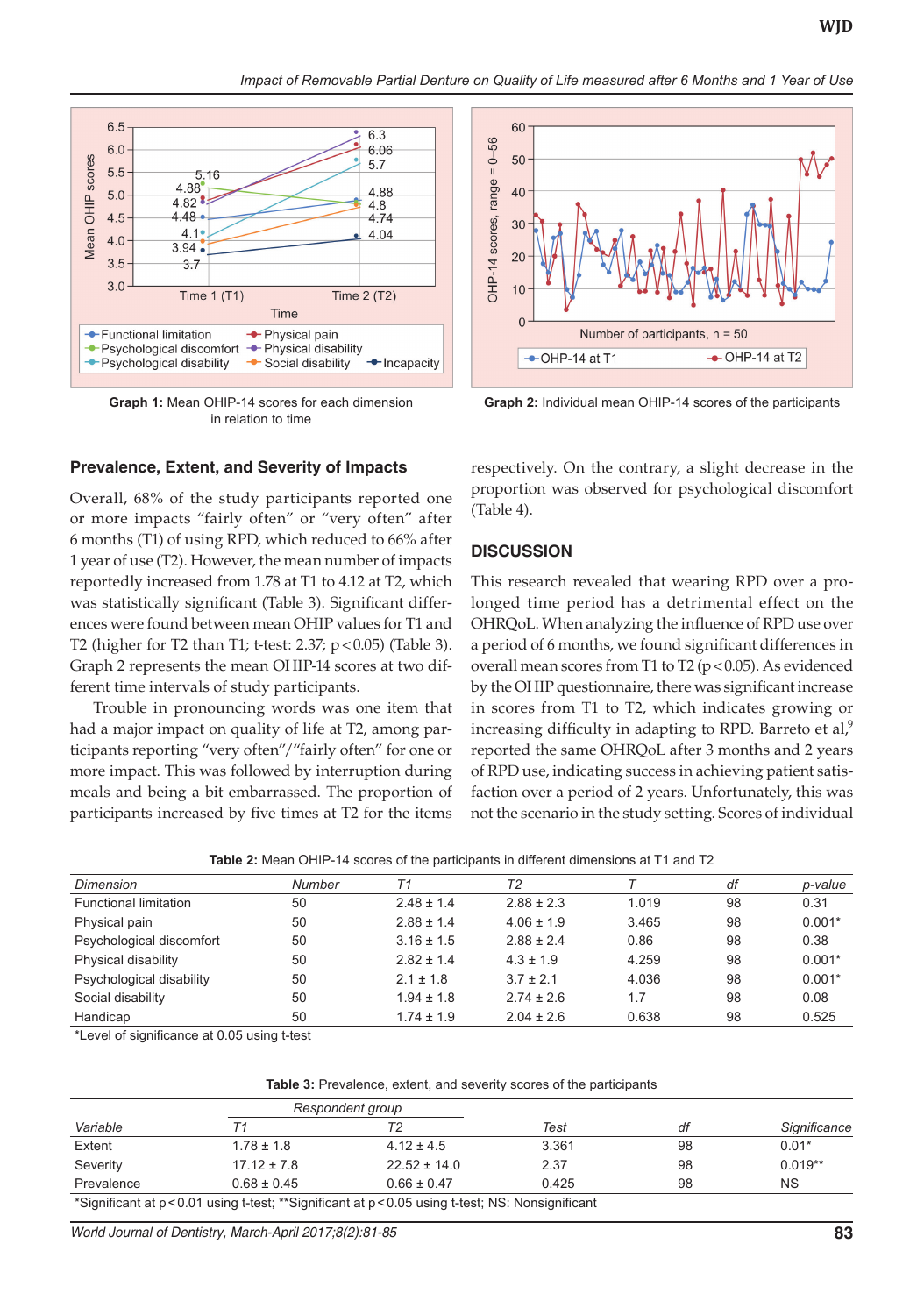*Impact of Removable Partial Denture on Quality of Life measured after 6 Months and 1 Year of Use*



**Graph 1:** Mean OHIP-14 scores for each dimension in relation to time

#### **Prevalence, Extent, and Severity of Impacts**

Overall, 68% of the study participants reported one or more impacts "fairly often" or "very often" after 6 months (T1) of using RPD, which reduced to 66% after 1 year of use (T2). However, the mean number of impacts reportedly increased from 1.78 at T1 to 4.12 at T2, which was statistically significant (Table 3). Significant differences were found between mean OHIP values for T1 and T2 (higher for T2 than T1; t-test: 2.37;  $p < 0.05$ ) (Table 3). Graph 2 represents the mean OHIP-14 scores at two different time intervals of study participants.

Trouble in pronouncing words was one item that had a major impact on quality of life at T2, among participants reporting "very often"/"fairly often" for one or more impact. This was followed by interruption during meals and being a bit embarrassed. The proportion of participants increased by five times at T2 for the items



**Graph 2:** Individual mean OHIP-14 scores of the participants

respectively. On the contrary, a slight decrease in the proportion was observed for psychological discomfort (Table 4).

#### **DISCUSSION**

This research revealed that wearing RPD over a prolonged time period has a detrimental effect on the OHRQoL. When analyzing the influence of RPD use over a period of 6 months, we found significant differences in overall mean scores from T1 to T2 ( $p$  < 0.05). As evidenced by the OHIP questionnaire, there was significant increase in scores from T1 to T2, which indicates growing or increasing difficulty in adapting to RPD. Barreto et al, $9$ reported the same OHRQoL after 3 months and 2 years of RPD use, indicating success in achieving patient satisfaction over a period of 2 years. Unfortunately, this was not the scenario in the study setting. Scores of individual

| Dimension                    | Number | T1             | T <sub>2</sub> |       | df | p-value  |
|------------------------------|--------|----------------|----------------|-------|----|----------|
| <b>Functional limitation</b> | 50     | $2.48 \pm 1.4$ | $2.88 \pm 2.3$ | 1.019 | 98 | 0.31     |
| Physical pain                | 50     | $2.88 \pm 1.4$ | $4.06 \pm 1.9$ | 3.465 | 98 | $0.001*$ |
| Psychological discomfort     | 50     | $3.16 \pm 1.5$ | $2.88 \pm 2.4$ | 0.86  | 98 | 0.38     |
| Physical disability          | 50     | $2.82 \pm 1.4$ | $4.3 \pm 1.9$  | 4.259 | 98 | $0.001*$ |
| Psychological disability     | 50     | $2.1 \pm 1.8$  | $3.7 \pm 2.1$  | 4.036 | 98 | $0.001*$ |
| Social disability            | 50     | $1.94 \pm 1.8$ | $2.74 \pm 2.6$ | 1.7   | 98 | 0.08     |
| Handicap                     | 50     | $1.74 \pm 1.9$ | $2.04 \pm 2.6$ | 0.638 | 98 | 0.525    |

\*Level of significance at 0.05 using t-test

**Table 3:** Prevalence, extent, and severity scores of the participants

| Respondent group |                 |                                                                                                   |       |    |              |
|------------------|-----------------|---------------------------------------------------------------------------------------------------|-------|----|--------------|
| Variable         |                 |                                                                                                   | Test  | df | Significance |
| Extent           | $1.78 \pm 1.8$  | $4.12 \pm 4.5$                                                                                    | 3.361 | 98 | $0.01*$      |
| Severity         | $17.12 \pm 7.8$ | $22.52 \pm 14.0$                                                                                  | 2.37  | 98 | $0.019**$    |
| Prevalence       | $0.68 \pm 0.45$ | $0.66 \pm 0.47$                                                                                   | 0.425 | 98 | <b>NS</b>    |
|                  |                 | *Significant at p < 0.01 using t-test; **Significant at p < 0.05 using t-test; NS: Nonsignificant |       |    |              |

*World Journal of Dentistry, March-April 2017;8(2):81-85* **83**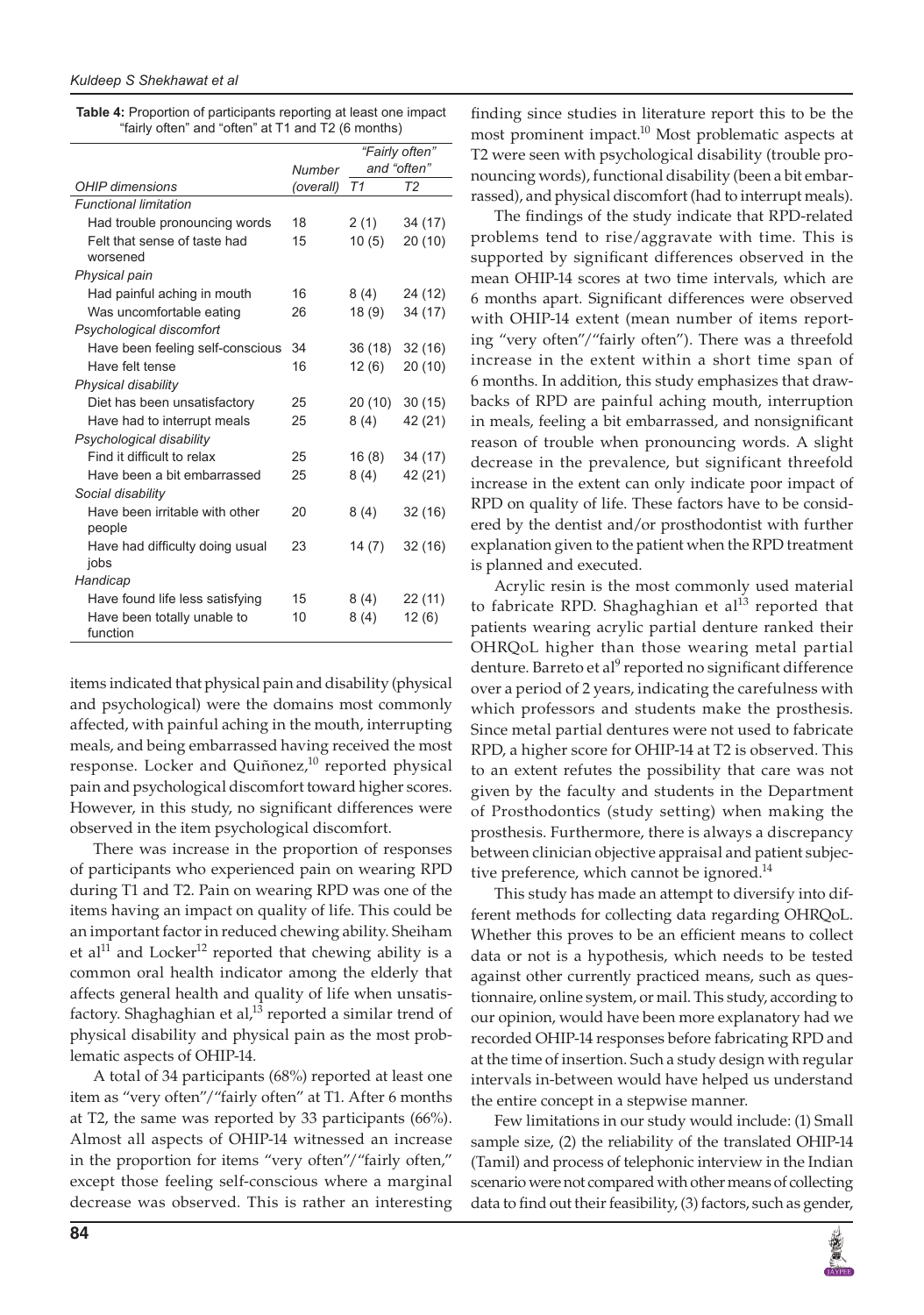| <b>Table 4:</b> Proportion of participants reporting at least one impact |
|--------------------------------------------------------------------------|
| "fairly often" and "often" at T1 and T2 (6 months)                       |

|                                          | Number    | "Fairly often"<br>and "often" |         |  |
|------------------------------------------|-----------|-------------------------------|---------|--|
| OHIP dimensions                          | (overall) | T1                            | T2      |  |
| <b>Functional limitation</b>             |           |                               |         |  |
| Had trouble pronouncing words            | 18        | 2(1)                          | 34 (17) |  |
| Felt that sense of taste had<br>worsened | 15        | 10(5)                         | 20(10)  |  |
| Physical pain                            |           |                               |         |  |
| Had painful aching in mouth              | 16        | 8(4)                          | 24 (12) |  |
| Was uncomfortable eating                 | 26        | 18(9)                         | 34 (17) |  |
| Psychological discomfort                 |           |                               |         |  |
| Have been feeling self-conscious         | 34        | 36(18)                        | 32(16)  |  |
| Have felt tense                          | 16        | 12(6)                         | 20(10)  |  |
| Physical disability                      |           |                               |         |  |
| Diet has been unsatisfactory             | 25        | 20 (10)                       | 30(15)  |  |
| Have had to interrupt meals              | 25        | 8(4)                          | 42 (21) |  |
| Psychological disability                 |           |                               |         |  |
| Find it difficult to relax               | 25        | 16(8)                         | 34 (17) |  |
| Have been a bit embarrassed              | 25        | 8(4)                          | 42 (21) |  |
| Social disability                        |           |                               |         |  |
| Have been irritable with other           | 20        | 8(4)                          | 32(16)  |  |
| people                                   |           |                               |         |  |
| Have had difficulty doing usual          | 23        | 14(7)                         | 32(16)  |  |
| jobs                                     |           |                               |         |  |
| Handicap                                 |           |                               |         |  |
| Have found life less satisfying          | 15        | 8(4)                          | 22 (11) |  |
| Have been totally unable to<br>function  | 10        | 8(4)                          | 12(6)   |  |

items indicated that physical pain and disability (physical and psychological) were the domains most commonly affected, with painful aching in the mouth, interrupting meals, and being embarrassed having received the most response. Locker and Quiñonez,<sup>10</sup> reported physical pain and psychological discomfort toward higher scores. However, in this study, no significant differences were observed in the item psychological discomfort.

There was increase in the proportion of responses of participants who experienced pain on wearing RPD during T1 and T2. Pain on wearing RPD was one of the items having an impact on quality of life. This could be an important factor in reduced chewing ability. Sheiham et al<sup>11</sup> and Locker<sup>12</sup> reported that chewing ability is a common oral health indicator among the elderly that affects general health and quality of life when unsatisfactory. Shaghaghian et al, $^{13}$  reported a similar trend of physical disability and physical pain as the most problematic aspects of OHIP-14.

A total of 34 participants (68%) reported at least one item as "very often"/"fairly often" at T1. After 6 months at T2, the same was reported by 33 participants (66%). Almost all aspects of OHIP-14 witnessed an increase in the proportion for items "very often"/"fairly often," except those feeling self-conscious where a marginal decrease was observed. This is rather an interesting finding since studies in literature report this to be the most prominent impact.<sup>10</sup> Most problematic aspects at T2 were seen with psychological disability (trouble pronouncing words), functional disability (been a bit embarrassed), and physical discomfort (had to interrupt meals).

The findings of the study indicate that RPD-related problems tend to rise/aggravate with time. This is supported by significant differences observed in the mean OHIP-14 scores at two time intervals, which are 6 months apart. Significant differences were observed with OHIP-14 extent (mean number of items reporting "very often"/"fairly often"). There was a threefold increase in the extent within a short time span of 6 months. In addition, this study emphasizes that drawbacks of RPD are painful aching mouth, interruption in meals, feeling a bit embarrassed, and nonsignificant reason of trouble when pronouncing words. A slight decrease in the prevalence, but significant threefold increase in the extent can only indicate poor impact of RPD on quality of life. These factors have to be considered by the dentist and/or prosthodontist with further explanation given to the patient when the RPD treatment is planned and executed.

Acrylic resin is the most commonly used material to fabricate RPD. Shaghaghian et al<sup>13</sup> reported that patients wearing acrylic partial denture ranked their OHRQoL higher than those wearing metal partial denture. Barreto et al<sup>9</sup> reported no significant difference over a period of 2 years, indicating the carefulness with which professors and students make the prosthesis. Since metal partial dentures were not used to fabricate RPD, a higher score for OHIP-14 at T2 is observed. This to an extent refutes the possibility that care was not given by the faculty and students in the Department of Prosthodontics (study setting) when making the prosthesis. Furthermore, there is always a discrepancy between clinician objective appraisal and patient subjective preference, which cannot be ignored.<sup>14</sup>

This study has made an attempt to diversify into different methods for collecting data regarding OHRQoL. Whether this proves to be an efficient means to collect data or not is a hypothesis, which needs to be tested against other currently practiced means, such as questionnaire, online system, or mail. This study, according to our opinion, would have been more explanatory had we recorded OHIP-14 responses before fabricating RPD and at the time of insertion. Such a study design with regular intervals in-between would have helped us understand the entire concept in a stepwise manner.

Few limitations in our study would include: (1) Small sample size, (2) the reliability of the translated OHIP-14 (Tamil) and process of telephonic interview in the Indian scenario were not compared with other means of collecting data to find out their feasibility, (3) factors, such as gender,